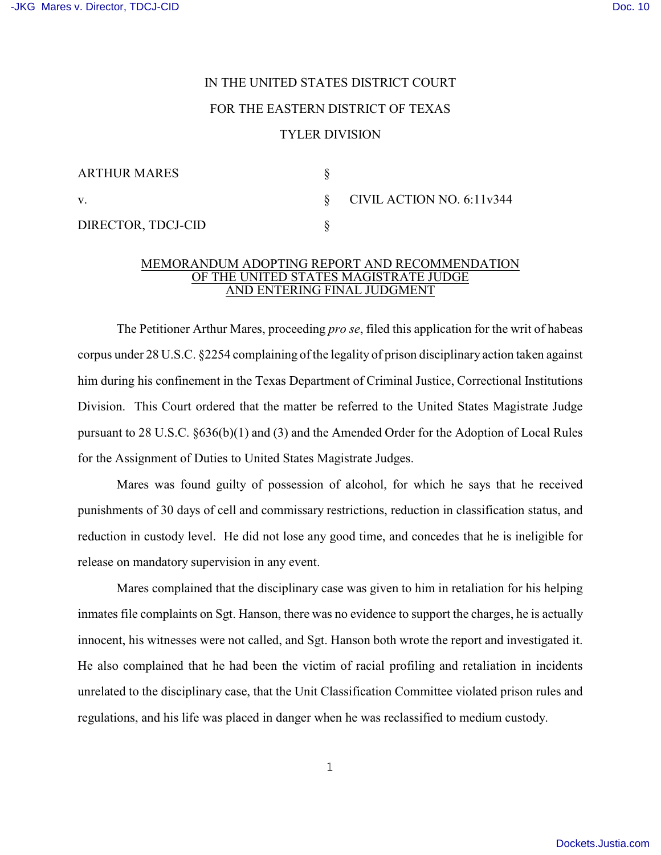## IN THE UNITED STATES DISTRICT COURT FOR THE EASTERN DISTRICT OF TEXAS TYLER DIVISION

| <b>ARTHUR MARES</b> |                                      |
|---------------------|--------------------------------------|
| V.                  | $\S$ CIVIL ACTION NO. 6:11 $\nu$ 344 |
| DIRECTOR, TDCJ-CID  |                                      |

## MEMORANDUM ADOPTING REPORT AND RECOMMENDATION OF THE UNITED STATES MAGISTRATE JUDGE AND ENTERING FINAL JUDGMENT

The Petitioner Arthur Mares, proceeding *pro se*, filed this application for the writ of habeas corpus under 28 U.S.C. §2254 complaining of the legality of prison disciplinary action taken against him during his confinement in the Texas Department of Criminal Justice, Correctional Institutions Division. This Court ordered that the matter be referred to the United States Magistrate Judge pursuant to 28 U.S.C. §636(b)(1) and (3) and the Amended Order for the Adoption of Local Rules for the Assignment of Duties to United States Magistrate Judges.

Mares was found guilty of possession of alcohol, for which he says that he received punishments of 30 days of cell and commissary restrictions, reduction in classification status, and reduction in custody level. He did not lose any good time, and concedes that he is ineligible for release on mandatory supervision in any event.

Mares complained that the disciplinary case was given to him in retaliation for his helping inmates file complaints on Sgt. Hanson, there was no evidence to support the charges, he is actually innocent, his witnesses were not called, and Sgt. Hanson both wrote the report and investigated it. He also complained that he had been the victim of racial profiling and retaliation in incidents unrelated to the disciplinary case, that the Unit Classification Committee violated prison rules and regulations, and his life was placed in danger when he was reclassified to medium custody.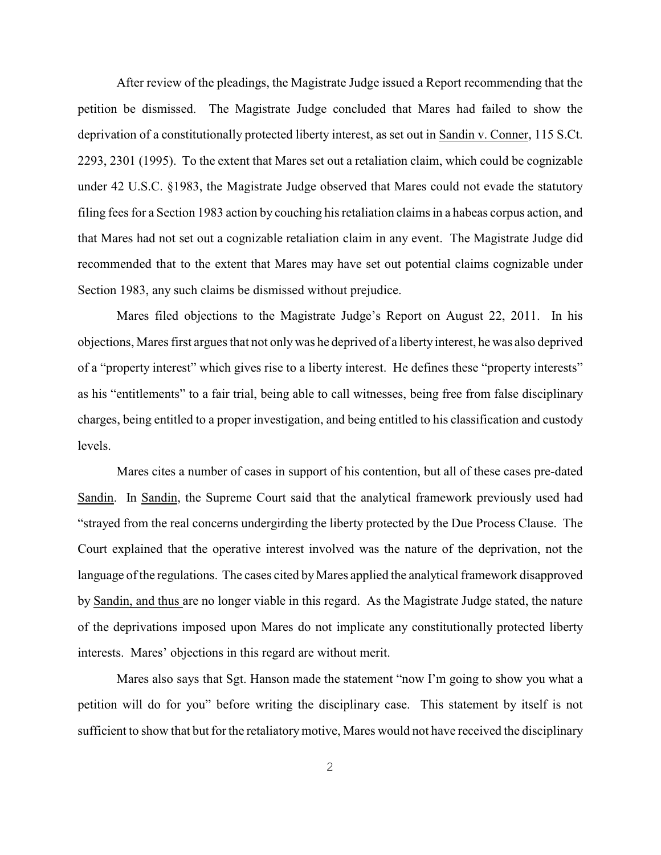After review of the pleadings, the Magistrate Judge issued a Report recommending that the petition be dismissed. The Magistrate Judge concluded that Mares had failed to show the deprivation of a constitutionally protected liberty interest, as set out in Sandin v. Conner, 115 S.Ct. 2293, 2301 (1995). To the extent that Mares set out a retaliation claim, which could be cognizable under 42 U.S.C. §1983, the Magistrate Judge observed that Mares could not evade the statutory filing fees for a Section 1983 action by couching his retaliation claims in a habeas corpus action, and that Mares had not set out a cognizable retaliation claim in any event. The Magistrate Judge did recommended that to the extent that Mares may have set out potential claims cognizable under Section 1983, any such claims be dismissed without prejudice.

Mares filed objections to the Magistrate Judge's Report on August 22, 2011. In his objections, Mares first argues that not only was he deprived of a liberty interest, he was also deprived of a "property interest" which gives rise to a liberty interest. He defines these "property interests" as his "entitlements" to a fair trial, being able to call witnesses, being free from false disciplinary charges, being entitled to a proper investigation, and being entitled to his classification and custody levels.

Mares cites a number of cases in support of his contention, but all of these cases pre-dated Sandin. In Sandin, the Supreme Court said that the analytical framework previously used had "strayed from the real concerns undergirding the liberty protected by the Due Process Clause. The Court explained that the operative interest involved was the nature of the deprivation, not the language of the regulations. The cases cited by Mares applied the analytical framework disapproved by Sandin, and thus are no longer viable in this regard. As the Magistrate Judge stated, the nature of the deprivations imposed upon Mares do not implicate any constitutionally protected liberty interests. Mares' objections in this regard are without merit.

Mares also says that Sgt. Hanson made the statement "now I'm going to show you what a petition will do for you" before writing the disciplinary case. This statement by itself is not sufficient to show that but for the retaliatory motive, Mares would not have received the disciplinary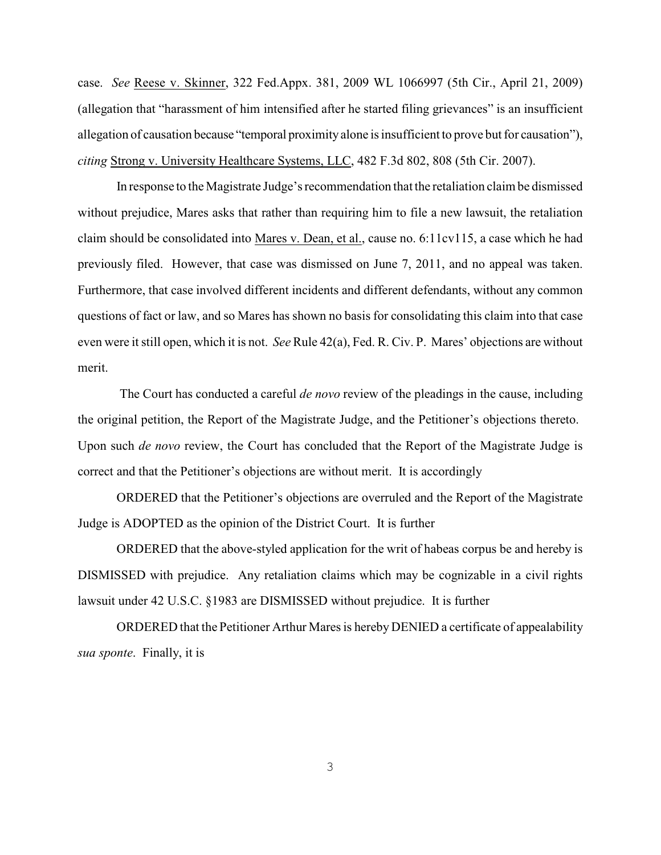case. *See* Reese v. Skinner, 322 Fed.Appx. 381, 2009 WL 1066997 (5th Cir., April 21, 2009) (allegation that "harassment of him intensified after he started filing grievances" is an insufficient allegation of causation because "temporal proximity alone is insufficient to prove but for causation"), *citing* Strong v. University Healthcare Systems, LLC, 482 F.3d 802, 808 (5th Cir. 2007).

In response to the Magistrate Judge's recommendation that the retaliation claim be dismissed without prejudice, Mares asks that rather than requiring him to file a new lawsuit, the retaliation claim should be consolidated into Mares v. Dean, et al., cause no. 6:11cv115, a case which he had previously filed. However, that case was dismissed on June 7, 2011, and no appeal was taken. Furthermore, that case involved different incidents and different defendants, without any common questions of fact or law, and so Mares has shown no basis for consolidating this claim into that case even were it still open, which it is not. *See* Rule 42(a), Fed. R. Civ. P. Mares' objections are without merit.

 The Court has conducted a careful *de novo* review of the pleadings in the cause, including the original petition, the Report of the Magistrate Judge, and the Petitioner's objections thereto. Upon such *de novo* review, the Court has concluded that the Report of the Magistrate Judge is correct and that the Petitioner's objections are without merit. It is accordingly

ORDERED that the Petitioner's objections are overruled and the Report of the Magistrate Judge is ADOPTED as the opinion of the District Court. It is further

ORDERED that the above-styled application for the writ of habeas corpus be and hereby is DISMISSED with prejudice. Any retaliation claims which may be cognizable in a civil rights lawsuit under 42 U.S.C. §1983 are DISMISSED without prejudice. It is further

ORDERED that the Petitioner Arthur Mares is hereby DENIED a certificate of appealability *sua sponte*. Finally, it is

3